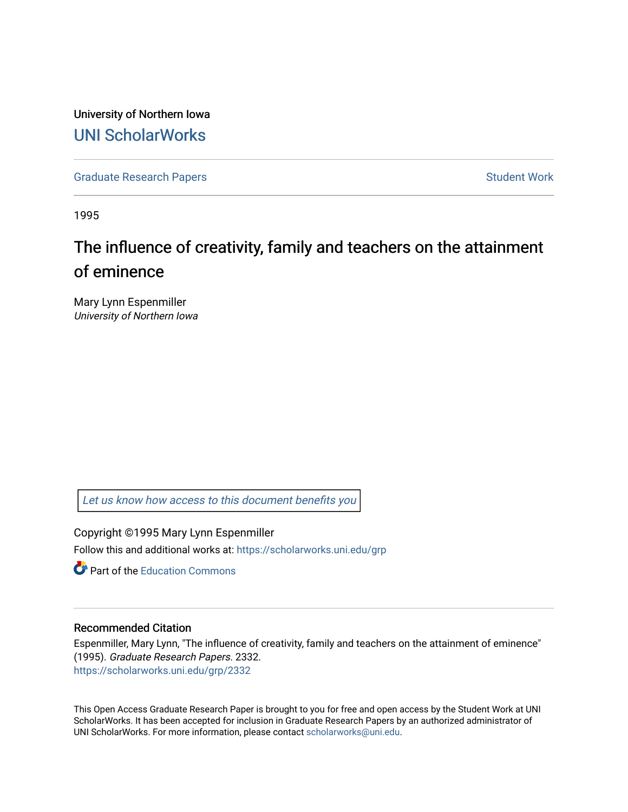University of Northern Iowa [UNI ScholarWorks](https://scholarworks.uni.edu/) 

[Graduate Research Papers](https://scholarworks.uni.edu/grp) **Student Work** Student Work

1995

# The influence of creativity, family and teachers on the attainment of eminence

Mary Lynn Espenmiller University of Northern Iowa

[Let us know how access to this document benefits you](https://scholarworks.uni.edu/feedback_form.html) 

Copyright ©1995 Mary Lynn Espenmiller Follow this and additional works at: [https://scholarworks.uni.edu/grp](https://scholarworks.uni.edu/grp?utm_source=scholarworks.uni.edu%2Fgrp%2F2332&utm_medium=PDF&utm_campaign=PDFCoverPages) 

**C** Part of the [Education Commons](http://network.bepress.com/hgg/discipline/784?utm_source=scholarworks.uni.edu%2Fgrp%2F2332&utm_medium=PDF&utm_campaign=PDFCoverPages)

#### Recommended Citation

Espenmiller, Mary Lynn, "The influence of creativity, family and teachers on the attainment of eminence" (1995). Graduate Research Papers. 2332. [https://scholarworks.uni.edu/grp/2332](https://scholarworks.uni.edu/grp/2332?utm_source=scholarworks.uni.edu%2Fgrp%2F2332&utm_medium=PDF&utm_campaign=PDFCoverPages) 

This Open Access Graduate Research Paper is brought to you for free and open access by the Student Work at UNI ScholarWorks. It has been accepted for inclusion in Graduate Research Papers by an authorized administrator of UNI ScholarWorks. For more information, please contact [scholarworks@uni.edu.](mailto:scholarworks@uni.edu)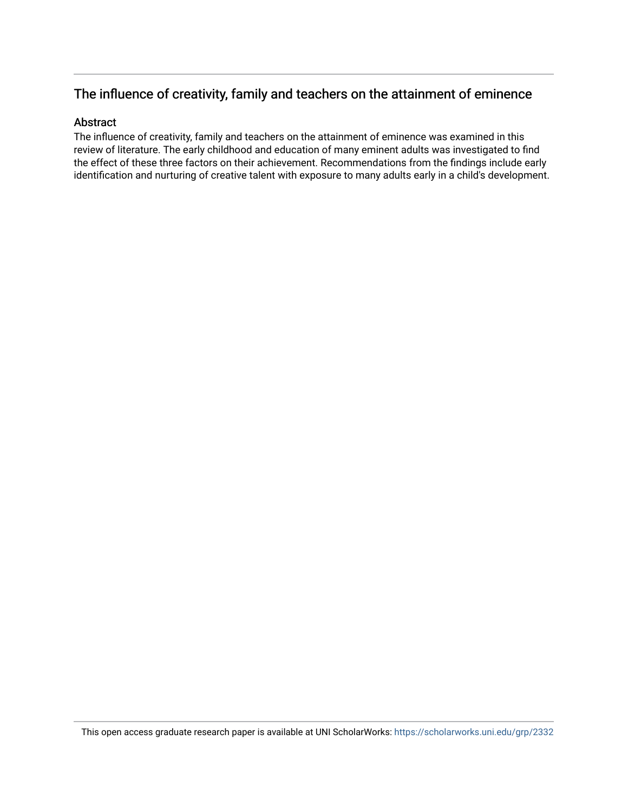## The influence of creativity, family and teachers on the attainment of eminence

#### Abstract

The influence of creativity, family and teachers on the attainment of eminence was examined in this review of literature. The early childhood and education of many eminent adults was investigated to find the effect of these three factors on their achievement. Recommendations from the findings include early identification and nurturing of creative talent with exposure to many adults early in a child's development.

This open access graduate research paper is available at UNI ScholarWorks: <https://scholarworks.uni.edu/grp/2332>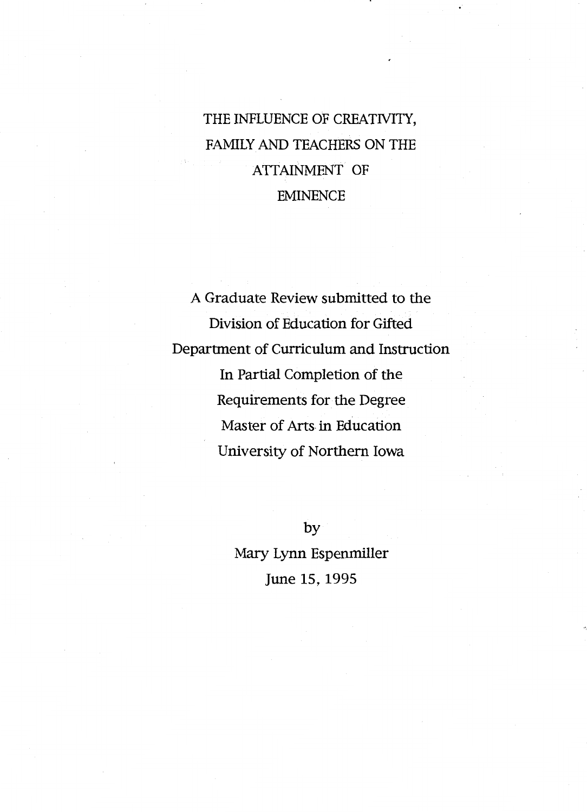THE INFLUENCE OF CREATNITY, FAMILY AND TEACHERS ON THE ATTAINMENT OF EMINENCE

A Graduate Review submitted to the Division of Education for Gifted Department of Curriculum and Instruction In Partial Completion of the Requirements for the Degree Master of Arts in Education University of Northern Iowa

> by Mary Lynn Espenmiller June 15, 1995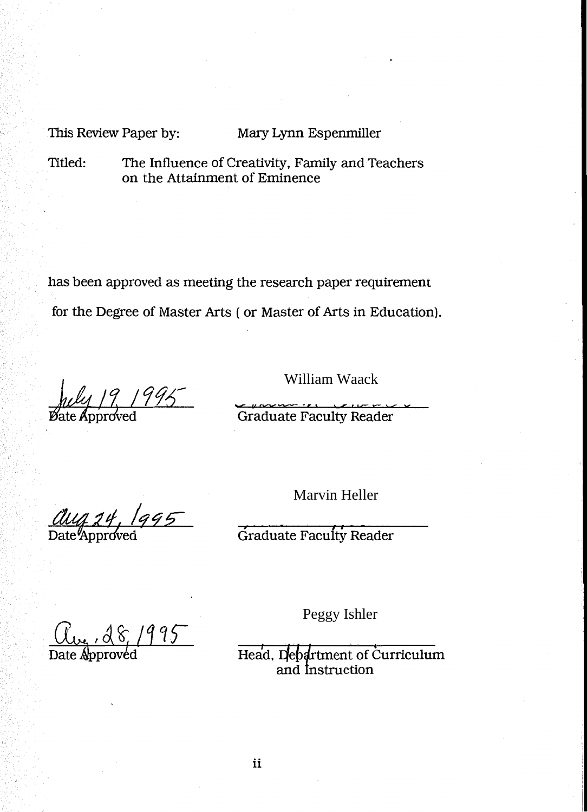This Review Paper by: Mary Lynn Espenmiller

Titled: The Influence of Creativity, Family and Teachers on the Attainment of Eminence

has been approved as meeting the research paper requirement for the Degree of Master Arts ( or Master of Arts in Education).

 $19/1995$ 

William Waack

Graduate Faculty Reader

aug 24, 1995

Marvin Heller

Graduate Faculty Reader

 $,28/995$ 

Peggy Ishler

Head, Department of Curriculum<br>and Instruction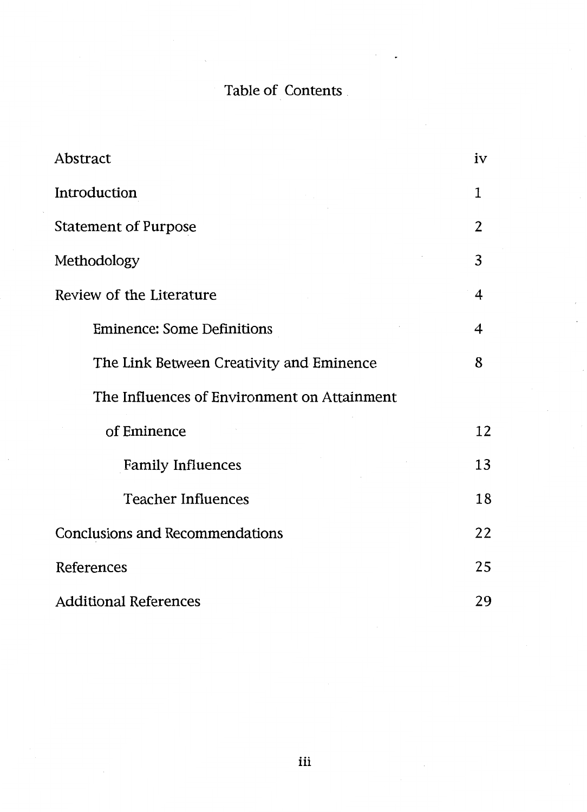## Table of Contents

 $\bar{z}$  $\ddot{\phantom{0}}$ 

| Abstract                                    | iv             |
|---------------------------------------------|----------------|
| Introduction                                | 1              |
| <b>Statement of Purpose</b>                 | $\overline{2}$ |
| Methodology                                 | 3              |
| Review of the Literature                    | 4              |
| <b>Eminence: Some Definitions</b>           | 4              |
| The Link Between Creativity and Eminence    | 8              |
| The Influences of Environment on Attainment |                |
| of Eminence                                 | 12             |
| <b>Family Influences</b>                    | 13             |
| <b>Teacher Influences</b>                   | 18             |
| <b>Conclusions and Recommendations</b>      | 22             |
| References                                  | 25             |
| <b>Additional References</b>                | 29             |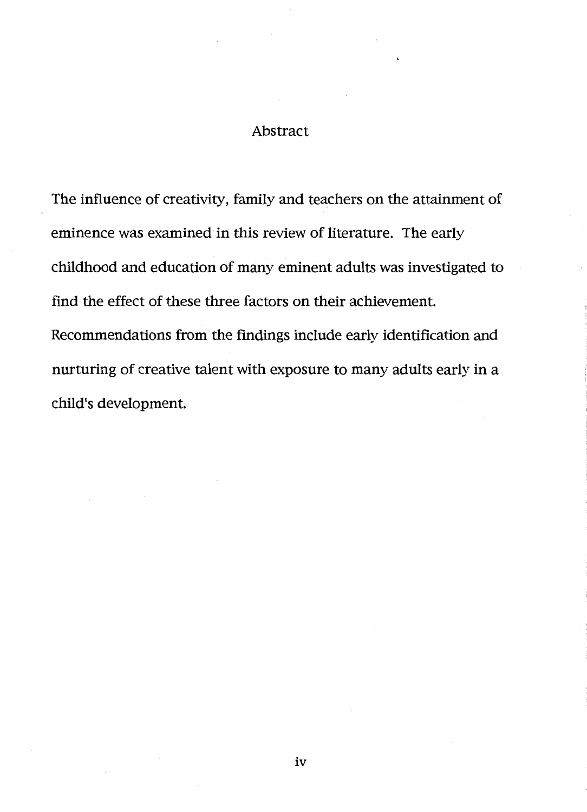## Abstract

The influence of creativity, family and teachers on the attainment of eminence was examined in this review of literature. The early childhood and education of many eminent adults was investigated to find the effect of these three factors on their achievement. Recommendations from the findings include early identification and nurturing of creative talent with exposure to many adults early in a child's development.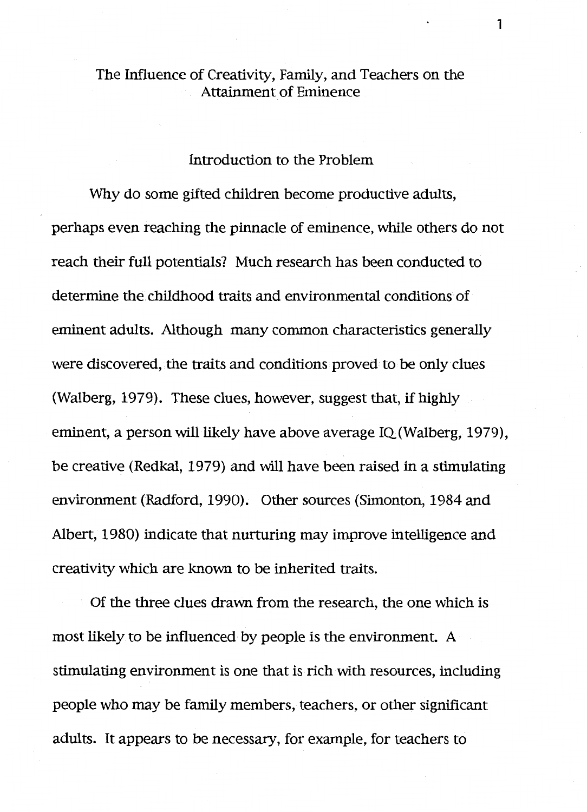## The Influence of Creativity, Family, and Teachers on the Attainment of Eminence

## Introduction to the Problem

Why do some gifted children become productive adults, perhaps even reaching the pinnacle of eminence, while others do not reach their full potentials? Much research has been conducted to determine the childhood traits and environmental conditions of eminent adults. Although many common characteristics generally were discovered, the traits and conditions proved to be only clues (Walberg, 1979). These clues, however, suggest that, if highly eminent, a person will likely have above average IQ(Walberg, 1979), be creative (Redkal, 1979) and will have been raised in a stimulating environment (Radford, 1990). Other sources (Simonton, 1984 and Albert, 1980) indicate that nurturing may improve intelligence and creativity which are known to be inherited traits.

Of the three clues drawn from the research, the one which is most likely to be influenced by people is the environment. A stimulating environment is one that is rich with resources, including people who may be family members, teachers, or other significant adults. It appears to be necessary, for example, for teachers to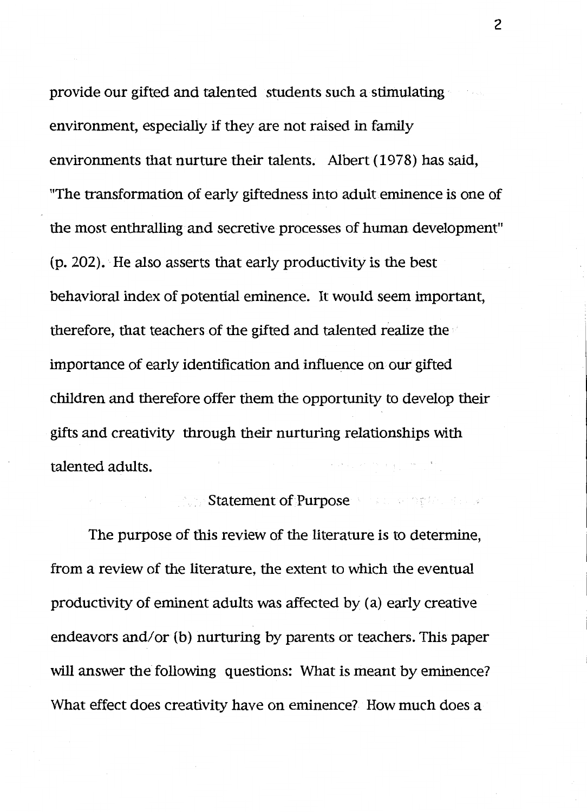provide our gifted and talented students such a stimulating environment, especially if they are not raised in family environments that nurture their talents. Albert (1978) has said, "The transformation of early giftedness into adult eminence is one of the most enthralling and secretive processes of human development" (p. 202). He also asserts that early productivity is the best behavioral index of potential eminence. It would seem important, therefore, that teachers of the gifted and talented realize the importance of early identification and influence on our gifted children and therefore offer them the opportunity to develop their gifts and creativity through their nurturing relationships with talented adults. a say an in a good work

## Statement of Purpose News and the state of the

The purpose of this review of the literature is to determine, from a review of the literature, the extent to which the eventual productivity of eminent adults was affected by (a) early creative endeavors and/or (b) nurturing by parents or teachers. This paper will answer the following questions: What is meant by eminence? What effect does creativity have on eminence? How much does a

2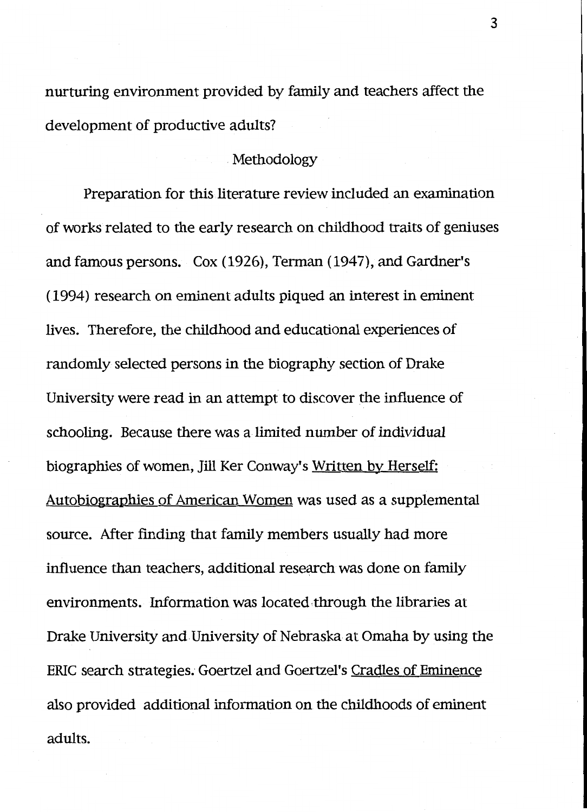nurturing environment provided by family and teachers affect the development of productive adults?

## Methodology

Preparation for this literature review included an examination of works related to the early research on childhood traits of geniuses and famous persons. Cox (1926), Terman (1947), and Gardner's ( 1994) research on eminent adults piqued an interest in eminent lives. Therefore, the childhood and educational experiences of randomly selected persons in the biography section of Drake University were read in an attempt to discover the influence of schooling. Because there was a limited number of individual biographies of women, Jill Ker Conway's Written by Herself: Autobiographies of American Women was used as a supplemental source. After finding that family members usually had more influence than teachers, additional research was done on family environments. Information was located through the libraries at Drake University and University of Nebraska at Omaha by using the ERIC search strategies. Goertzel and Goertzel's Cradles of Eminence also provided additional information on the childhoods of eminent adults.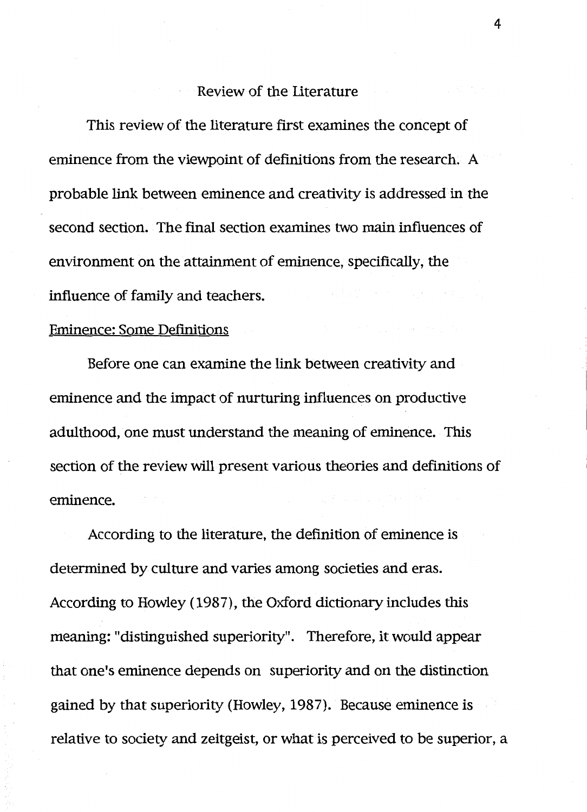## Review of the Literature

This review of the literature first examines the concept of eminence from the viewpoint of definitions from the research. A probable link between eminence and creativity is addressed in the second section. The final section examines two main influences of environment on the attainment of eminence, specifically, the influence of family and teachers.

#### Eminence: Some Definitions

Before one can examine the link between creativity and eminence and the impact of nurturing influences on productive adulthood, one must understand the meaning of eminence. This section of the review will present various theories and definitions of eminence.

According to the literature, the definition of eminence is determined by culture and varies among societies and eras. According to Howley ( 1987), the Oxford dictionary includes this meaning: "distinguished superiority". Therefore, it would appear that one's eminence depends on superiority and on the distinction gained by that superiority (Howley, 1987). Because eminence is relative to society and zeitgeist, or what is perceived to be superior, a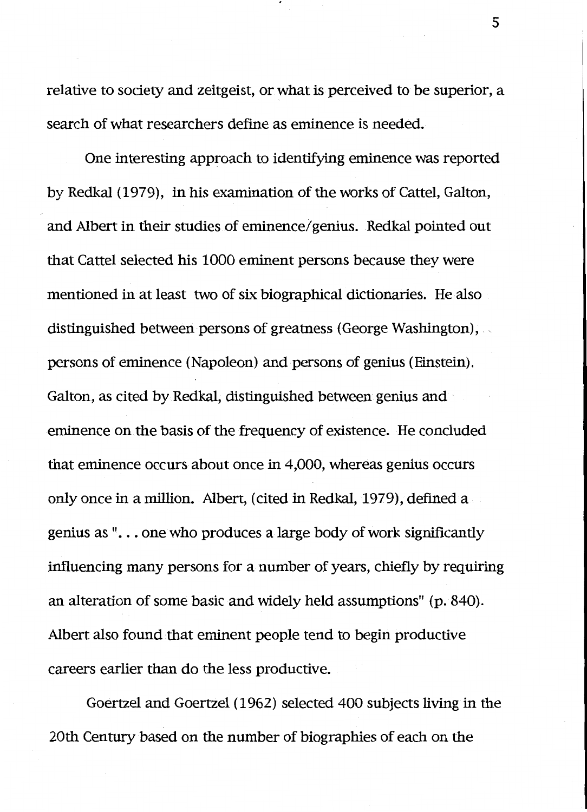relative to society and zeitgeist, or what is perceived to be superior, a search of what researchers define as eminence is needed.

One interesting approach to identifying eminence was reported by Redkal (1979), in his examination of the works of Cattel, Galton, and Albert in their studies of eminence/genius. Redkal pointed out that Cattel selected his 1000 eminent persons because they were mentioned in at least two of six biographical dictionaries. He also distinguished between persons of greatness (George Washington), persons of eminence (Napoleon) and persons of genius (Einstein). Galton, as cited by Redkal, distinguished between genius and eminence on the basis of the frequency of existence. He concluded that eminence occurs about once in 4,000, whereas genius occurs only once in a million. Albert, (cited in Redkal, 1979), defined a genius as "... one who produces a large body of work significantly influencing many persons for a number of years, chiefly by requiring an alteration of some basic and widely held assumptions" (p. 840). Albert also found that eminent people tend to begin productive careers earlier than do the less productive.

Goertzel and Goertzel (1962) selected 400 subjects living in the 20th Century based on the number of biographies of each on the

5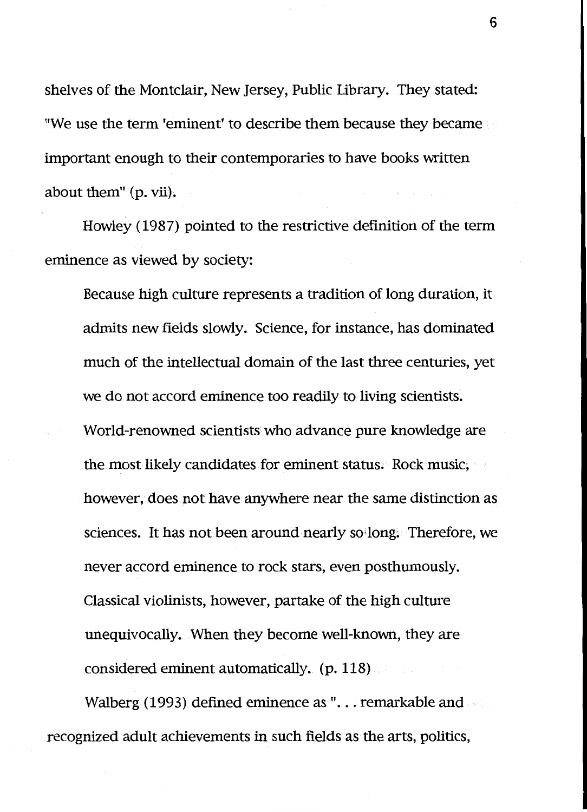shelves of the Montclair, New Jersey, Public Library. They stated: "We use the term 'eminent' to describe them because they became important enough to their contemporaries to have books written about them" (p. vii).

Howley ( 1987) pointed to the restrictive definition of the term eminence as viewed by society:

Because high culture represents a tradition of long duration, it admits new fields slowly. Science, for instance, has dominated much of the intellectual domain of the last three centuries, yet we do not accord eminence too readily to living scientists. World-renowned scientists who advance pure knowledge are the most likely candidates for eminent status. Rock music, however, does not have anywhere near the same distinction as sciences. It has not been around nearly so long. Therefore, we never accord eminence to rock stars, even posthumously. Classical violinists, however, partake of the high culture unequivocally. When they become well-known, they are considered eminent automatically. (p. 118)

Walberg (1993) defined eminence as "... remarkable and recognized adult achievements in such fields as the arts, politics,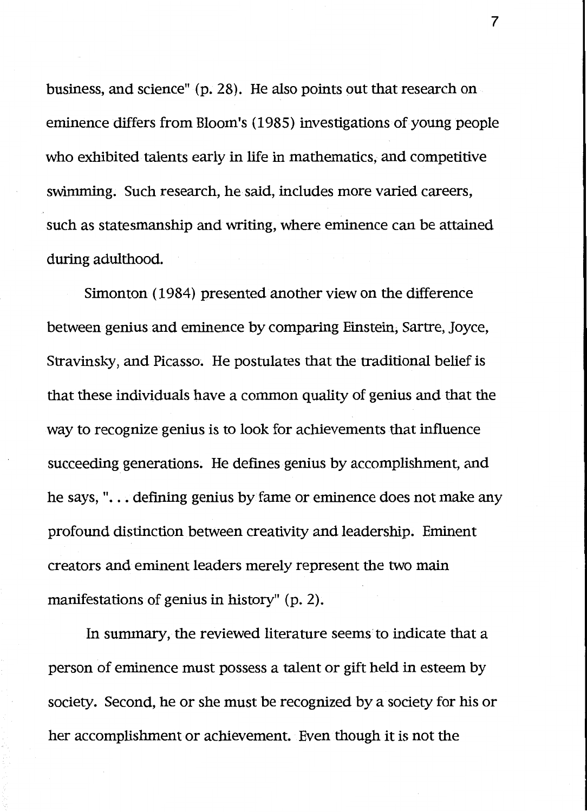business, and science" (p. 28). He also points out that research on eminence differs from Bloom's ( 1985) investigations of young people who exhibited talents early in life in mathematics, and competitive swimming. Such research, he said, includes more varied careers, such as statesmanship and writing, where eminence can be attained during adulthood.

Simonton ( 1984) presented another view on the difference between genius and eminence by comparing Einstein, Sartre, Joyce, Stravinsky, and Picasso. He postulates that the traditional belief is that these individuals have a common quality of genius and that the way to recognize genius is to look for achievements that influence succeeding generations. He defines genius by accomplishment, and he says," ... defining genius by fame or eminence does not make any profound distinction between creativity and leadership. Eminent creators and eminent leaders merely represent the two main manifestations of genius in history" (p. 2).

In summary, the reviewed literature seems to indicate that a person of eminence must possess a talent or gift held in esteem by society. Second, he or she must be recognized by a society for his or her accomplishment or achievement. Even though it is not the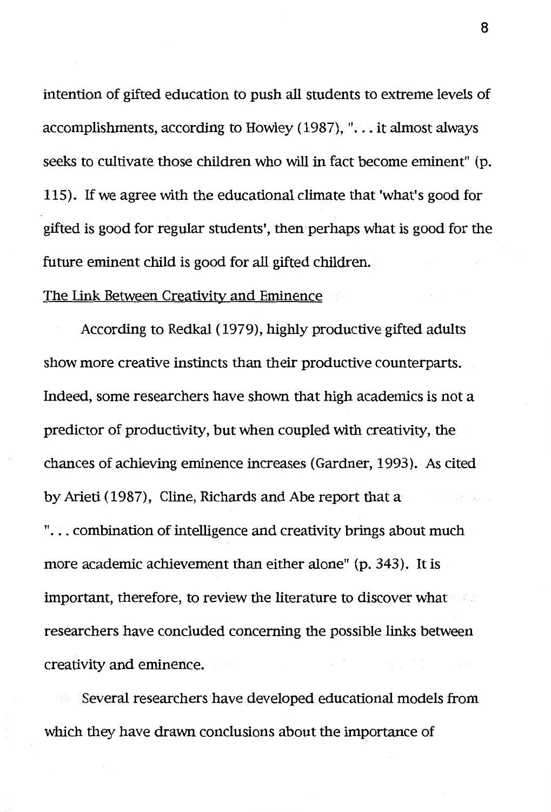intention of gifted education to push all students to extreme levels of accomplishments, according to Howley (1987), " $\ldots$  it almost always seeks to cultivate those children who will in fact become eminent" (p. 115). If we agree with the educational climate that 'what's good for gifted is good for regular students', then perhaps what is good for the future eminent child is good for all gifted children.

## The Link Between Creativity and Eminence

According to Redkal ( 1979), highly productive gifted adults show more creative instincts than their productive counterparts. Indeed, some researchers have shown that high academics is not a predictor of productivity, but when coupled with creativity, the chances of achieving eminence increases (Gardner, 1993). As cited by Arieti (1987), Cline, Richards and Abe report that a "... combination of intelligence and creativity brings about much more academic achievement than either alone" (p. 343). It is important, therefore, to review the literature to discover what researchers have concluded concerning the possible links between creativity and eminence.

Several researchers have developed educational models from which they have drawn conclusions about the importance of

8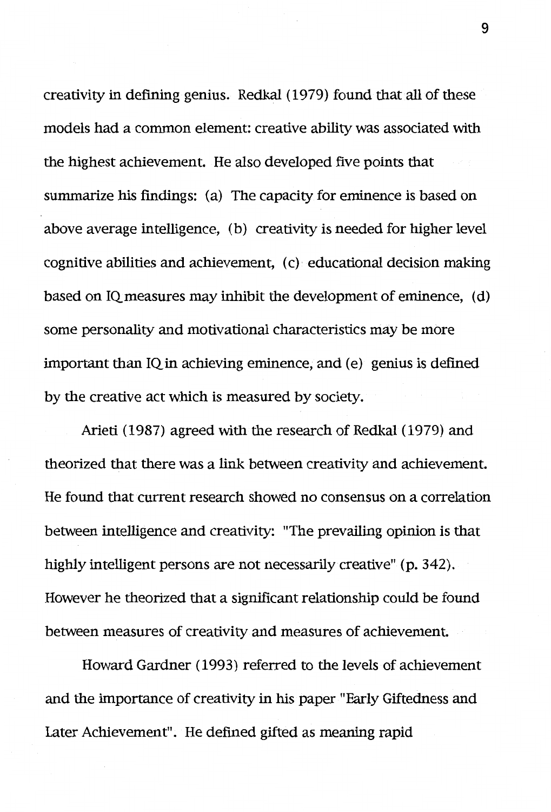creativity in defining genius. Redkal (1979) found that all of these models had a common element: creative ability was associated with the highest achievement. He also developed five points that summarize his findings: (a) The capacity for eminence is based on above average intelligence, (b) creativity is needed for higher level cognitive abilities and achievement,  $(c)$  educational decision making based on IQ measures may inhibit the development of eminence, ( d) some personality and motivational characteristics may be more important than IQ in achieving eminence, and (e) genius is defined by the creative act which is measured by society.

Arieti (1987) agreed with the research of Redkal (1979) and theorized that there was a link between creativity and achievement. He found that current research showed no consensus on a correlation between intelligence and creativity: "The prevailing opinion is that highly intelligent persons are not necessarily creative" (p. 342). However he theorized that a significant relationship could be found between measures of creativity and measures of achievement.

Howard Gardner ( 1993) referred to the levels of achievement and the importance of creativity in his paper "Early Giftedness and Later Achievement". He defined gifted as meaning rapid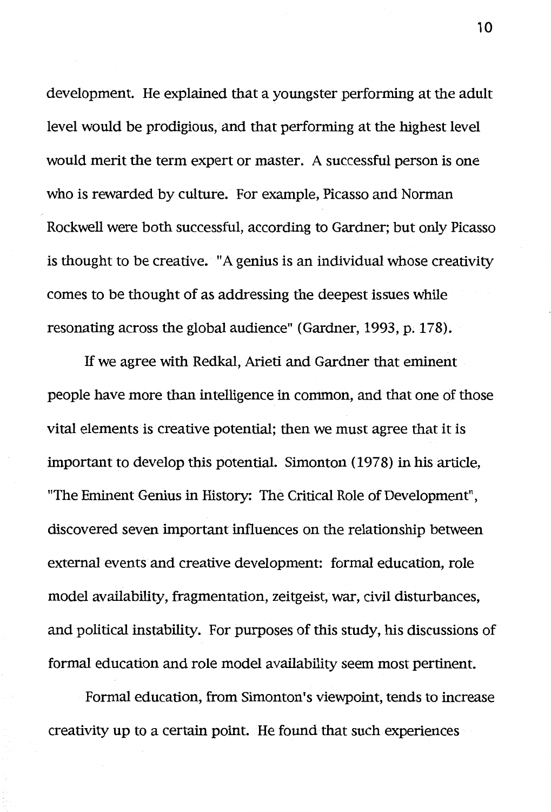development. He explained that a youngster performing at the adult level would be prodigious, and that performing at the highest level would merit the term expert or master. A successful person is one who is rewarded by culture. For example, Picasso and Norman Rockwell were both successful, according to Gardner; but only Picasso is thought to be creative. "A genius is an individual whose creativity comes to be thought of as addressing the deepest issues while resonating across the global audience" (Gardner, 1993, p. 178).

If we agree with Redkal, Arieti and Gardner that eminent people have more than intelligence in common, and that one of those vital elements is creative potential; then we must agree that it is important to develop this potential. Simonton (1978) in his article, "The Eminent Genius in History: The Critical Role of Development", discovered seven important influences on the relationship between external events and creative development: formal education, role model availability, fragmentation, zeitgeist, war, civil disturbances, and political instability. For purposes of this study, his discussions of formal education and role model availability seem most pertinent.

Formal education, from Simonton's viewpoint, tends to increase creativity up to a certain point. He found that such experiences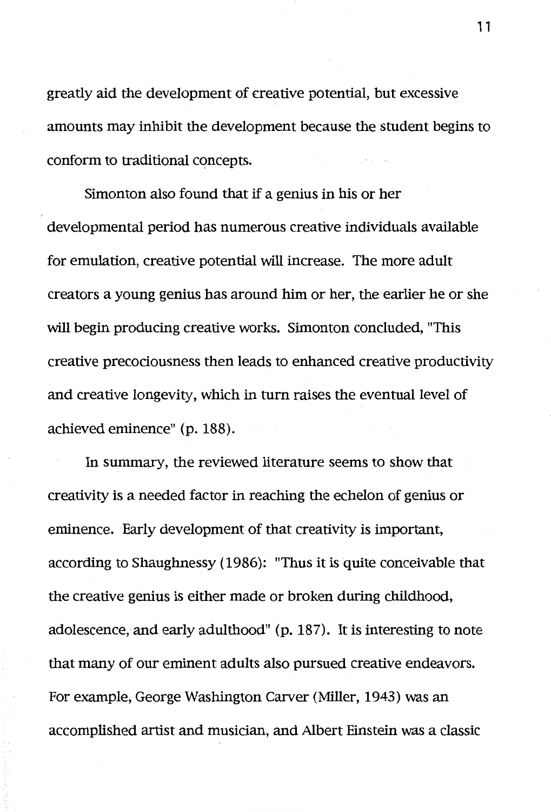greatly aid the development of creative potential, but excessive amounts may inhibit the development because the student begins to conform to traditional concepts.

Simonton also found that if a genius in his or her developmental period has numerous creative individuals available for emulation, creative potential will increase. The more adult creators a young genius has around him or her, the earlier he or she will begin producing creative works. Simonton concluded, "This creative precociousness then leads to enhanced creative productivity and creative longevity, which in tum raises the eventual level of achieved eminence" (p. 188).

In summary, the reviewed literature seems to show that creativity is a needed factor in reaching the echelon of genius or eminence. Early development of that creativity is important, according to Shaughnessy ( 1986): "Thus it is quite conceivable that the creative genius is either made or broken during childhood, adolescence, and early adulthood" (p. 187). It is interesting to note that many of our eminent adults also pursued creative endeavors. For example, George Washington Carver (Miller, 1943) was an accomplished artist and musician, and Albert Einstein was a classic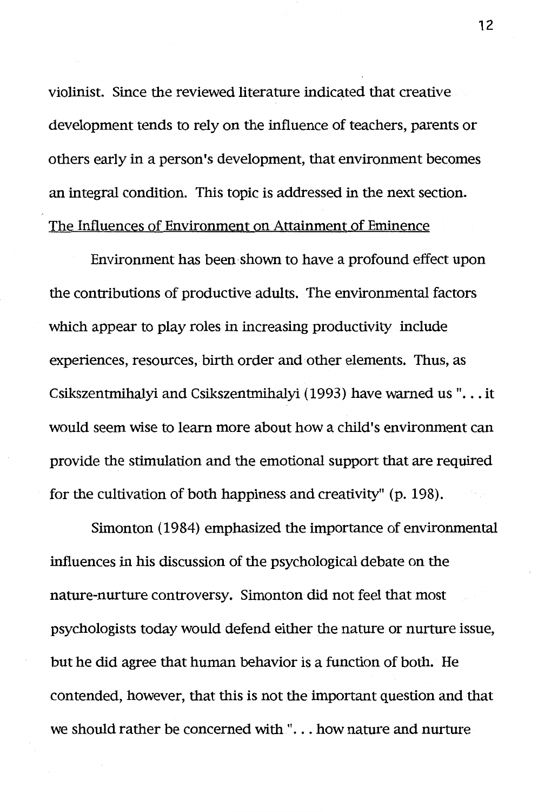violinist. Since the reviewed literature indicated that creative development tends to rely on the influence of teachers, parents or others early in a person's development, that environment becomes an integral condition. This topic is addressed in the next section. The Influences of Environment on Attainment of Eminence

Environment has been shown to have a profound effect upon the contributions of productive adults. The environmental factors which appear to play roles in increasing productivity include experiences, resources, birth order and·other elements. Thus, as Csikszentmihalyi and Csikszentmihalyi (1993) have warned us "... it would seem wise to learn more about how a child's environment can provide the stimulation and the emotional support that are required for the cultivation of both happiness and creativity" (p. 198).

Simonton (1984) emphasized the importance of environmental influences in his discussion of the psychological debate on the nature-nurture controversy. Simonton did not feel that most psychologists today would defend either the nature or nurture issue, but he did agree that human behavior is a function of both. He contended, however, that this is not the important question and that we should rather be concerned with "... how nature and nurture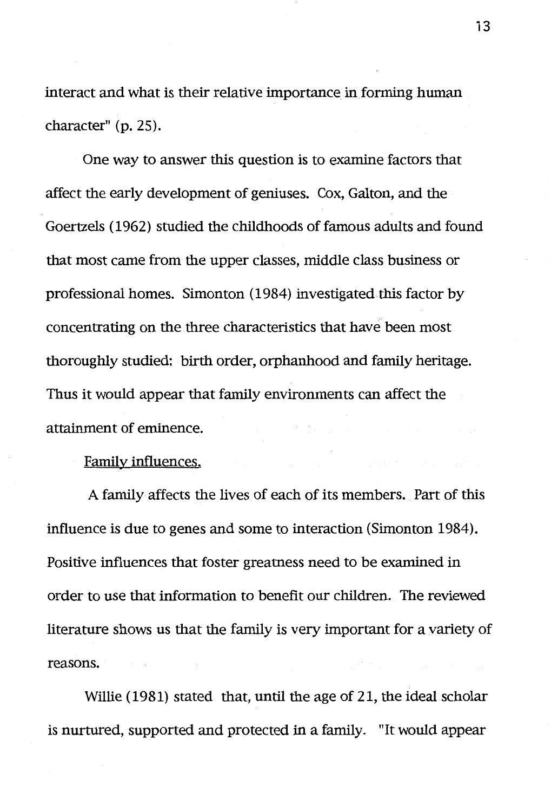interact and what is their relative importance in forming human character" (p. 25).

One way to answer this question is to examine factors that affect the early development of geniuses. Cox, Galton, and the Goertzels ( 1962) studied the childhoods of famous adults and found that most came from the upper classes, middle class business or professional homes. Simonton (1984) investigated.this factor by concentrating on the three characteristics that have been most thoroughly studied: birth order, orphanhood and family heritage. Thus it would appear that family environments can affect the attainment of eminence.

## Family influences.

A family affects the lives of each of its members. Part of this influence is due to genes and some to interaction (Simonton 1984). Positive influences that foster greatness need to be examined in order to use that information to benefit our children. The reviewed literature shows us that the family is very important for a variety of reasons.

Willie (1981) stated that, until the age of 21, the ideal scholar is nurtured, supported and protected in a family. "It would appear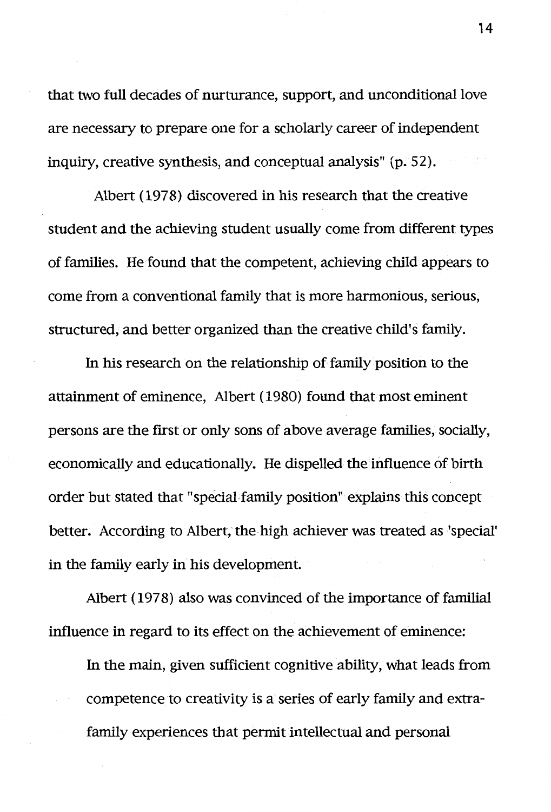that two full decades of nurturance, support, and unconditional love are necessary to prepare one for a scholarly career of independent inquiry, creative synthesis, and conceptual analysis" (p. 52).

Albert (1978) discovered in his research that the creative student and the achieving student usually come from different types of families. He found that the competent, achieving child appears to come from a conventional family that is more harmonious, serious, structured, and better organized than the creative child's family.

In his research on the relationship of family position to the attainment of eminence, Albert (1980) found that most eminent persons are the first or only sons of above average families, socially, economically and educationally. He dispelled the influence of birth order but stated that "special,family position" explains this concept better. According to Albert, the high achiever was treated as 'special' in the family early in his development.

Albert (1978) also was convinced of the importance of familial influence in regard to its effect on the achievement of eminence:

In the main, given sufficient cognitive ability, what leads from competence to creativity is a series of early family and extrafamily experiences that permit intellectual and personal

14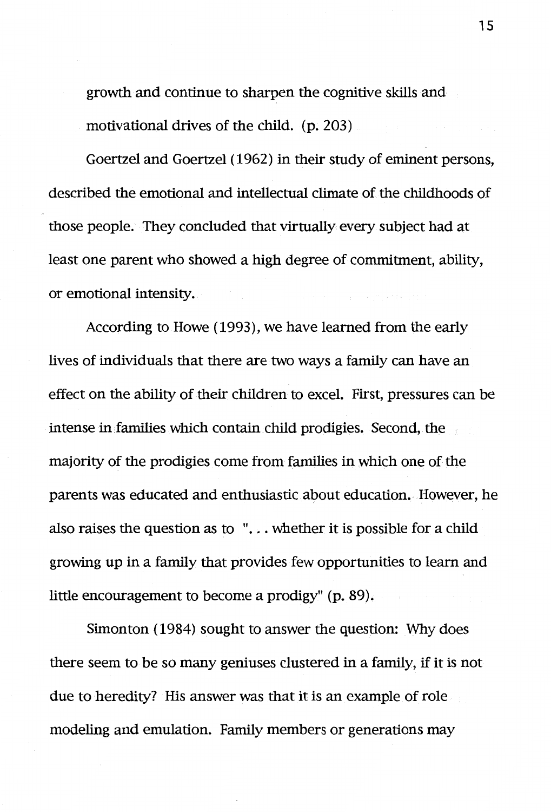growth and continue to sharpen the cognitive skills and motivational drives of the child. (p. 203)

Goertzel and Goertzel ( 1962) in their study of eminent persons, described the emotional and intellectual climate of the childhoods of those people. They concluded that virtually every subject had at least one parent who showed a high degree of commitment, ability, or emotional intensity.

According to Howe (1993), we have learned from the early lives of individuals that there are two ways a family can have an effect on the ability of their children to excel. First, pressures can be intense in families which contain child prodigies. Second, the majority of the prodigies come from families in which one of the parents was educated and enthusiastic about education. However, he also raises the question as to  $\cdot \cdot \cdot$ ... whether it is possible for a child growing up in a family that provides few opportunities to learn and little encouragement to become a prodigy" (p. 89).

Simonton ( 1984) sought to answer the question: Why does there seem to be so many geniuses clustered in a family, if it is not due to heredity? His answer was that it is an example of role modeling and emulation. Family members or generations may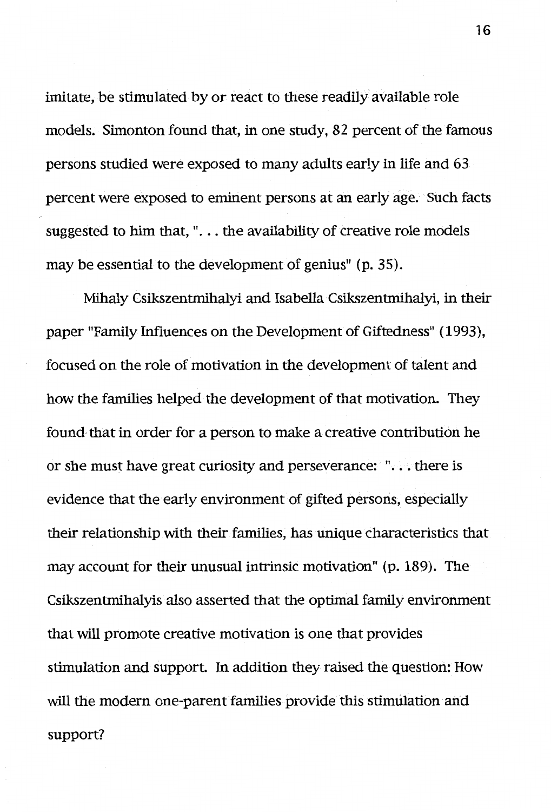imitate, be stimulated by or react to these readily available role models. Simonton found that, in one study, 82 percent of the famous persons studied were exposed to many adults early in life and 63 percent were exposed to eminent persons at an early age. Such facts suggested to him that, ". . . the availability of creative role models may be essential to the development of genius" (p. 35).

Mihaly Csikszentmihalyi and Isabella Csikszentmihalyi, in their paper "Family Influences on the Development of Giftedness" (1993), focused on the role of motivation in the development of talent and how the families helped the development of that motivation. They found· that in order for a person to make a creative contribution he or she must have great curiosity and perseverance: " ... there is evidence that the early environment of gifted persons, especially their relationship with their families, has unique characteristics that may account for their unusual intrinsic motivation" (p. 189). The Csikszentmihalyis also asserted that the optimal family environment that will promote creative motivation is one that provides stimulation and support. In addition they raised the question: How will the modem one-parent families provide this stimulation and support?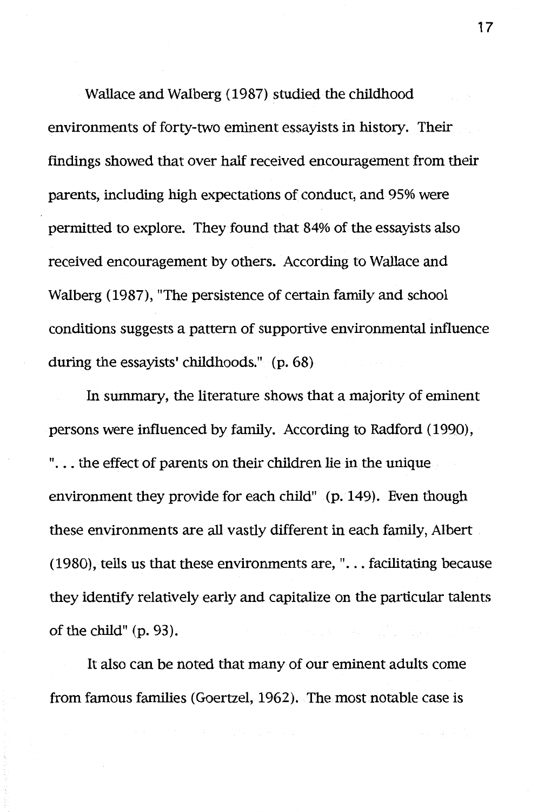Wallace and Walberg (1987) studied the childhood environments of forty-two eminent essayists in history. Their findings showed that over half received encouragement from their parents, including high expectations of conduct, and 95% were permitted to explore. They found that 84% of the essayists also received encouragement by others. According to Wallace and Walberg (1987), "The persistence of certain family and school conditions suggests a pattern of supportive environmental influence during the essayists' childhoods." (p. 68)

In summary, the literature shows that a majority of eminent persons were influenced by family. According to Radford (1990), "... the effect of parents on their children lie in the unique environment they provide for each child" (p. 149). Even though these environments are all vastly different in each family, Albert (1980), tells us that these environments are, " $\ldots$  facilitating because they identify relatively early and capitalize on the particular talents of the child" (p. 93).

It also can be noted that many of our eminent adults come from famous families (Goertzel, 1962). The.most notable case is

17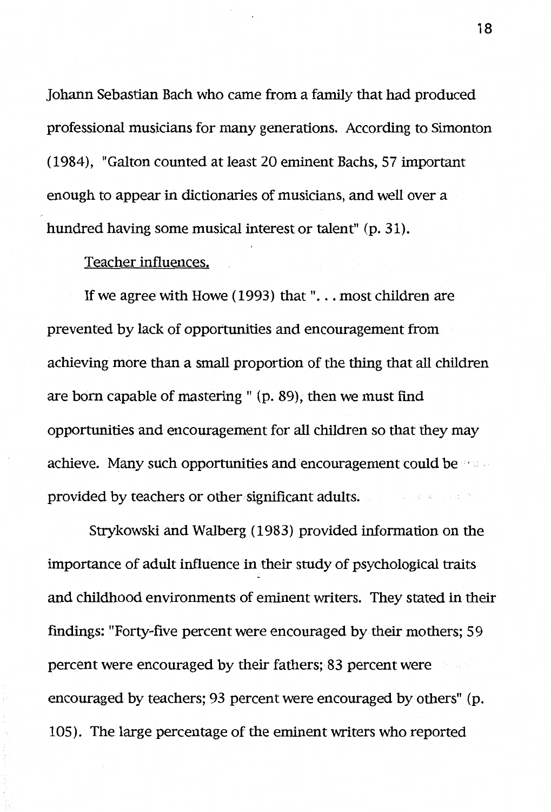Johann Sebastian Bach who came from a family that had produced professional musicians for many generations. According to Simonton (1984), "Galton counted at least 20 eminent Bachs, 57 important enough to appear in dictionaries of musicians, and well over a hundred having some musical interest or talent" (p. 31).

## Teacher influences.

If we agree with Howe  $(1993)$  that "... most children are prevented by lack of opportunities and encouragement from achieving more than a small proportion of the thing that all children are born capable of mastering" (p. 89), then we must find opportunities and encouragement for all children so that they may achieve. Many such opportunities and encouragement could be a set provided by teachers or other significant adults.

Strykowski and Walberg (1983) provided information on the importance of adult influence in their study of psychological traits and childhood environments of eminent writers. They stated in their findings: "Forty-five percent were encouraged by their mothers; 59 percent were encouraged by their fathers; 83 percent were encouraged by teachers; 93 percent were encouraged by others" (p. 105). The large percentage of the eminent writers who reported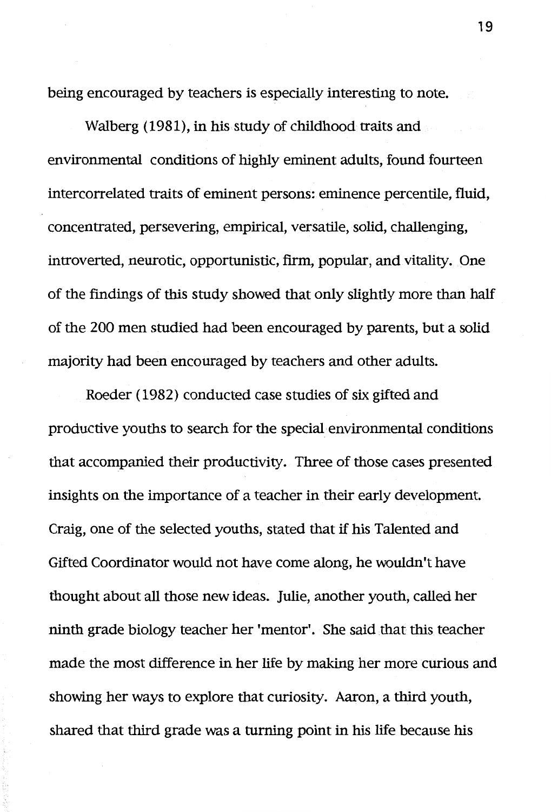being encouraged by teachers is especially interesting to note.

Walberg (1981), in his study of childhood traits and environmental conditions of highly eminent adults, found fourteen intercorrelated traits of eminent persons: eminence percentile, fluid, concentrated, persevering, empirical, versatile, solid, challenging, introverted, neurotic, opportunistic, firm, popular, and vitality. One of the findings of this study showed that only slightly more than half of the 200 men studied had been encouraged by parents, but a solid majority had been encouraged by teachers and other adults.

Roeder (1982) conducted case studies of six gifted and productive youths to search for the special environmental conditions that accompanied their productivity. Three of those cases presented insights on the importance of a teacher in their early development. Craig, one of the selected youths, stated that if his Talented and Gifted Coordinator would not have come along, he wouldn't have thought about all those new ideas. Julie, another youth, called her ninth grade biology teacher her 'mentor'. She said that this teacher made the most difference in her life by making her more curious and showing her ways to explore that curiosity. Aaron, a third youth, shared that third grade was a turning point in his life because his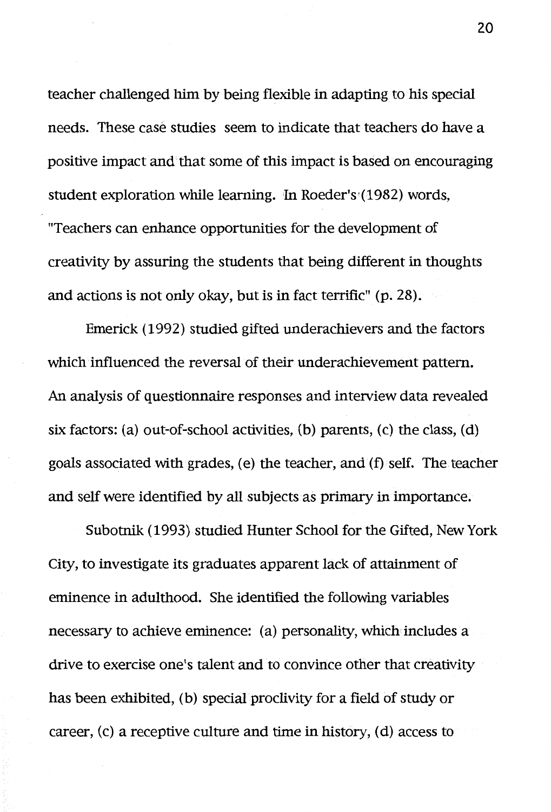teacher challenged him by being flexible in adapting to his special needs. These case studies seem to indicate that teachers do have a positive impact and that some of this impact is based on encouraging student exploration while learning. In Roeder's·(1982) words, "Teachers can enhance opportunities for the development of creativity by assuring the students that being different in thoughts and actions is not only okay, but is in fact terrific" (p. 28).

Emerick (1992) studied gifted underachievers and the factors which influenced the reversal of their underachievement pattern. An analysis of questionnaire responses and interview data revealed six factors: (a) out-of-school activities, (b) parents, (c) the class, (d) goals associated with grades, ( e) the teacher, and (f) self. The teacher and self were identified by all subjects as primary in importance.

Subotnik (1993) studied Hunter School for the Gifted, New York City, to investigate its graduates apparent lack of attainment of eminence in adulthood. She identified the following variables necessary to achieve eminence: (a) personality, which includes a drive to exercise one's talent and to convince other that creativity has been exhibited, (b) special proclivity for a field of study or career, (c) a receptive culture and time in history, (d) access to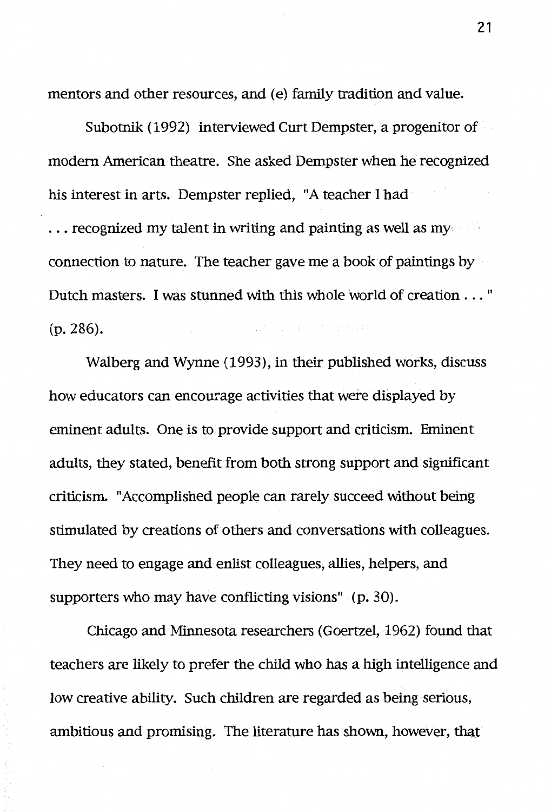mentors and other resources, and (e) family tradition and value.

Subotnik (1992) interviewed Curt Dempster, a progenitor of modern American theatre. She asked Dempster when he recognized his interest in arts. Dempster replied, "A teacher I had  $\ldots$  recognized my talent in writing and painting as well as my connection to nature. The teacher gave me a book of paintings by Dutch masters. I was stunned with this whole world of creation ... " 第二十五百五十五十五十六十五 李家村 (p. 286).

Walberg and Wynne (1993), in their published works, discuss how educators can encourage activities that were displayed by eminent adults. One is to provide support and criticism. Eminent adults, they stated, benefit from both strong support and significant criticism. "Accomplished people can rarely succeed without being stimulated by creations of others and conversations with colleagues. They need to engage and enlist colleagues, allies, helpers, and supporters who may have conflicting visions" (p. 30).

Chicago and Minnesota researchers (Goertzel, 1962) found that teachers are likely to prefer the child who has a high intelligence and low creative ability. Such children are regarded as being· serious, ambitious and promising. The literature has shown, however, that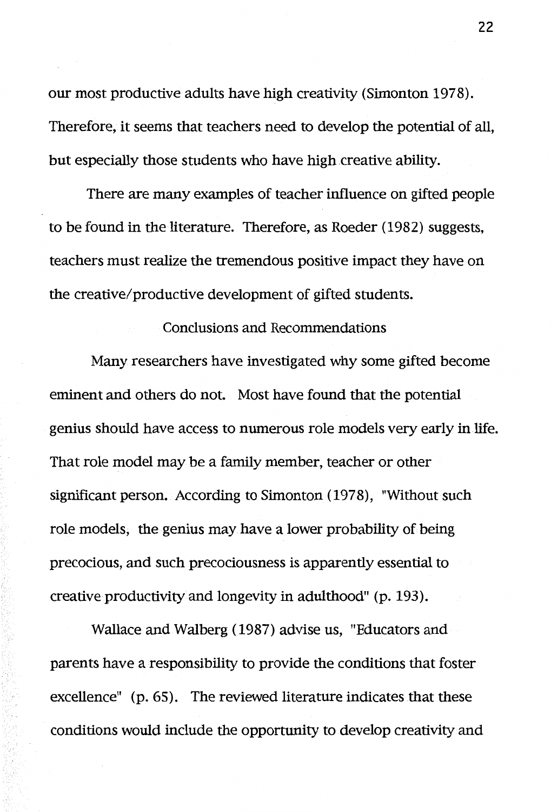our most productive adults have high creativity (Simonton 1978). Therefore, it seems that teachers need to develop the potential of all, but especially those students who have high creative ability.

There are many examples of teacher influence on gifted people to be found in the literature. Therefore, as Roeder ( 1982) suggests, teachers must realize the tremendous positive impact they have on the creative/productive development of gifted students.

## Conclusions and Recommendations

Many researchers have investigated why some gifted become eminent and others do not. Most have found that the potential genius should have access to numerous role models very early in life. That role model may be a family member, teacher or other significant person. According to Simonton (1978), "Without such role models, the genius may have a lower probability of being precocious, and such precociousness is apparently essential to creative productivity and longevity in adulthood" (p. 193).

Wallace and Walberg ( 1987) advise us, "Educators and parents have a responsibility to provide the conditions that foster excellence" (p. 65). The reviewed literature indicates that these conditions would include the opportunity to develop creativity and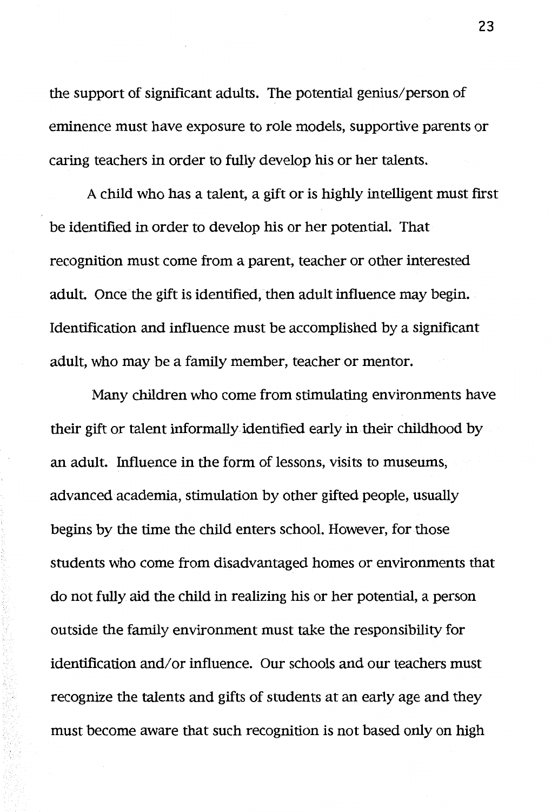the support of significant adults. The potential genius/person of eminence must have exposure to role models, supportive parents or caring teachers in order to fully develop his or her talents.

A child who has a talent, a gift or is highly intelligent must first be identified in order to develop his or her potential. That recognition must come from a parent, teacher or other interested adult. Once the gift is identified, then adult influence may begin. Identification and influence must be accomplished by a significant adult, who may be a family member, teacher or mentor.

Many children who come from stimulating environments have their gift or talent informally identified early in their childhood by an adult. Influence in the form of lessons, visits to museums, advanced academia, stimulation by other gifted people, usually begins by the time the child enters school. However, for those students who come from disadvantaged homes or environments that do not fully aid the child in realizing his or her potential, a person outside the family environment must take the responsibility for identification and/or influence. Our schools and our teachers must recognize the talents and gifts of students at an early age and they must become aware that such recognition is not based only on high

**23**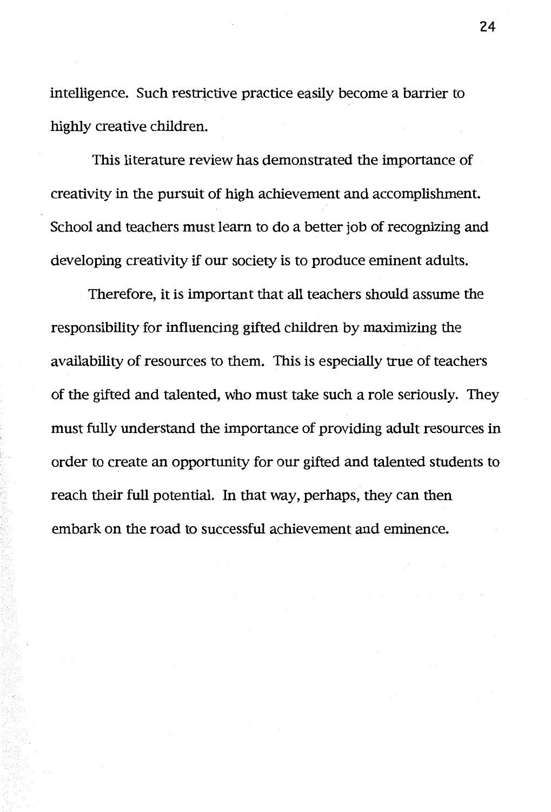intelligence. Such restrictive practice easily become a barrier to highly creative children.

This literature review has demonstrated the importance of creativity in the pursuit of high achievement and accomplishment. School and teachers must learn to do a better job of recognizing and developing creativity if our society is to produce eminent adults.

Therefore, it is important that all teachers should assume the responsibility for influencing gifted children by maximizing the availability of resources to them. This is especially true of teachers of the gifted and talented, who must take such a role seriously. They must fully understand the importance of providing adult resources in order to create an opportunity for our gifted and talented students to reach their full potential. In that way, perhaps, they can then embark on the road to successful achievement and eminence.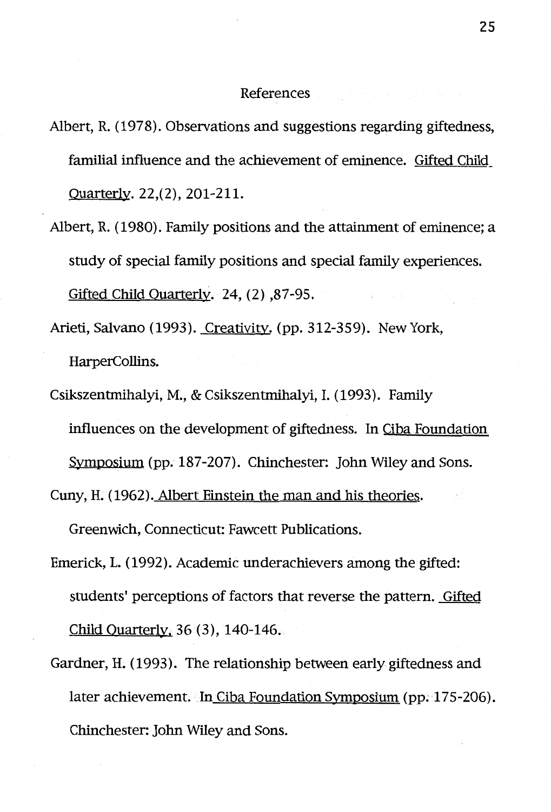#### References

- Albert, R. (1978). Observations and suggestions regarding giftedness, familial influence and the achievement of eminence. Gifted Child\_ Quarterly. 22,(2), 201-211.
- Albert, R. ( 1980). Family positions and the attainment of eminence; a study of special family positions and special family experiences. Gifted Child Quarterly. 24, (2) ,87-95.
- Arieti, Salvano (1993). Creativity. (pp. 312-359). New York, HarperCollins.
- Csikszentmihalyi, M., & Csikszentmihalyi, I. (1993). Family influences on the development of giftedness. In Ciba Foundation Symposium (pp. 187-207). Chinchester: John Wiley and Sons.

Cuny, H. (1962). Albert Einstein the man and his theories.

Greenwich, Connecticut: Fawcett Publications.

- Emerick, L. (1992). Academic underachievers among the gifted: students' perceptions of factors that reverse the pattern. Gifted Child Quarterly, 36 (3), 140-146.
- Gardner, H. (1993). The relationship between early giftedness and later achievement. In Ciba Foundation Symposium (pp. 175-206). Chinchester: John Wiley and Sons.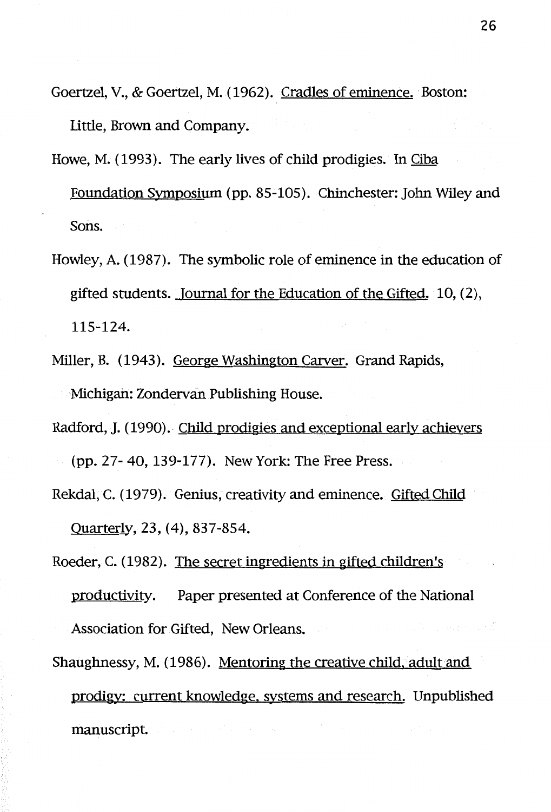- Goertzel, V., & Goertzel, M. (1962). Cradles of eminence. Boston: Little, Brown and Company.
- Howe, M. (1993). The early lives of child prodigies. In Ciba Foundation Symposium (pp. 85-105). Chinchester: John Wiley and Sons.
- Howley, A. (1987). The symbolic role of eminence in the education of gifted students. Journal for the Education of the Gifted. 10, (2), 115-124.
- Miller, B. (1943). George Washington Carver. Grand Rapids, •Michigan: Zondervan Publishing House.
- Radford, J. (1990). Child prodigies and exceptional early achievers (pp. 27- 40, 139-177). New York: The Free Press.
- Rekdal, C. (1979). Genius, creativity and eminence. Gifted Child Quarterly. 23, (4), 837-854.
- Roeder, C. (1982). The secret ingredients in gifted children's productivity. Paper presented at Conference of the National Association for. Gifted, New Orleans.
- Shaughnessy, M. ( 1986). Mentoring the creative child, adult and prodigy: current knowledge, systems and research. Unpublished manuscript.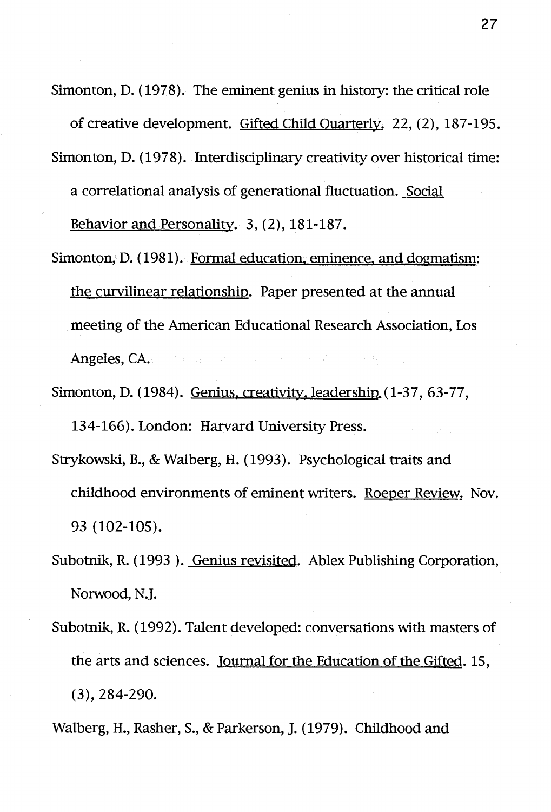Simonton, D. ( 1978). The eminent genius in history: the critical role

of creative development. Gifted Child Quarterly. 22, (2), 187-195. Simonton, D. (1978). Interdisciplinary creativity over historical time: a correlational analysis of generational fluctuation. \_Social

Behavior and Personality. 3, (2), 181-187.

- Simonton, D. (1981). Formal education, eminence, and dogmatism: the curvilinear relationship. Paper presented at the annual meeting of the American Educational Research Association, Los Angeles, CA. and the right with a series of the control
- Simonton, D. (1984). Genius, creativity, leadership. (1-37, 63-77, 134-166). London: Harvard University Press.
- Strykowski, B., & Walberg, H. (1993). Psychological traits and childhood environments of eminent writers. Roeper Review. Nov. 93 (102-105).
- Subotnik, R. (1993 ). Genius revisited. Ablex Publishing Corporation, Norwood, N.J.
- Subotnik, R. (1992). Talent developed: conversations with masters of the arts and sciences. Journal for the Education of the Gifted. 15, (3), 284-290.
- Walberg, H., Rasher, S., & Parkerson, J. (1979). Childhood and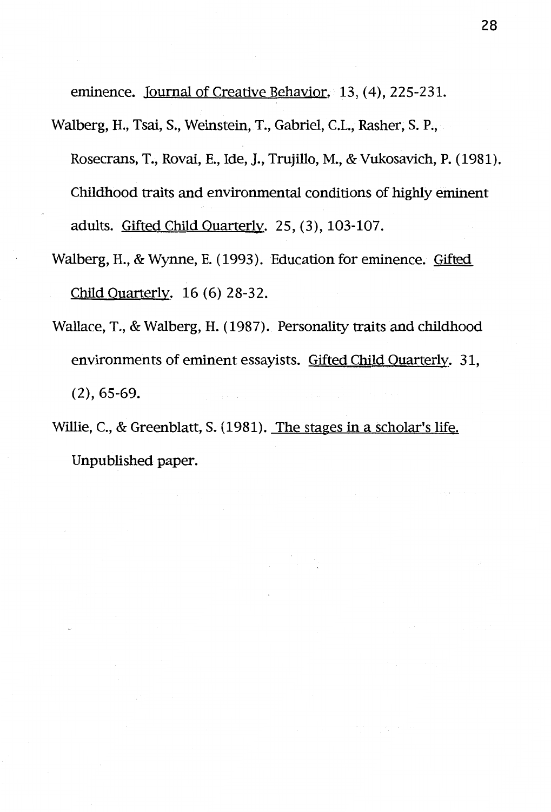eminence. Journal of Creative Behavior. 13, (4), 225-231.

Walberg, H., Tsai, S., Weinstein, T., Gabriel, C.L., Rasher, S. P.,

Rosecrans, T., Rovai, E., Ide, J., Trujillo, M., & Vukosavich, P. (1981). Childhood traits and environmental conditions of highly eminent adults. Gifted Child Quarterly. 25, (3), 103-107.

- Walberg, H., & Wynne, E. ( 1993 ). Education for eminence. Gifted Child Quarterly. 16 (6) 28-32.
- Wallace, T., & Walberg, H. (1987). Personality traits and childhood environments of eminent essayists. Gifted Child Quarterly. 31, (2), 65-69.
- Willie, C., & Greenblatt, S. (1981). The stages in a scholar's life. Unpublished paper.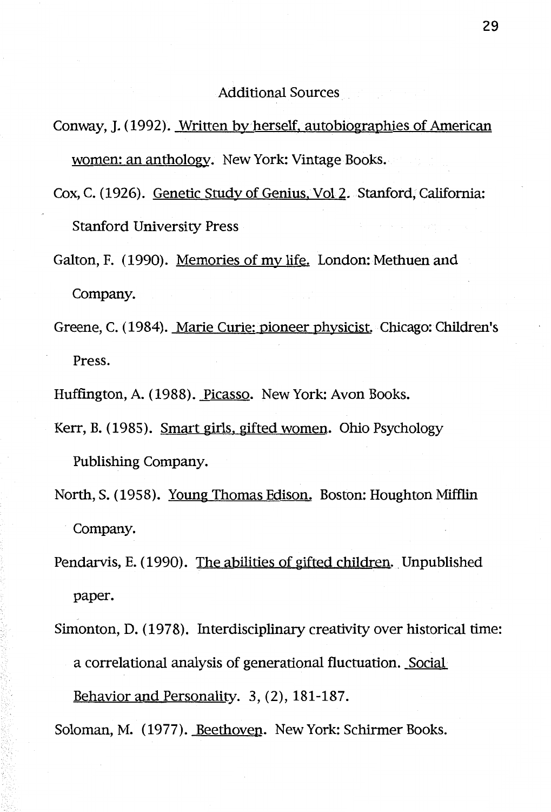Additional Sources

- Conway, J. (1992). Written by herself, autobiographies of American women: an anthology. New York: Vintage Books.
- Cox, C. (1926). Genetic Study of Genius, Vol 2. Stanford, California: Stanford University Press
- Galton, F. (1990). Memories of my life. London: Methuen and Company.
- Greene, C. (1984). Marie Curie: pioneer physicist. Chicago: Children's Press.
- Huffington, A. (1988). Picasso. New York: Avon Books.
- Kerr, B. (1985). Smart girls, gifted women. Ohio Psychology Publishing Company.
- North, S. (1958). Young Thomas Edison. Boston: Houghton Mifflin Company.
- Pendarvis, E. (1990). The abilities of gifted children. Unpublished paper.
- Simonton, D. (1978). Interdisciplinary creativity over historical time: a correlational analysis of generational fluctuation. Social Behavior and Personality. 3, (2), 181-187.
- Soloman, M. (1977). Beethoven. New York: Schirmer Books.